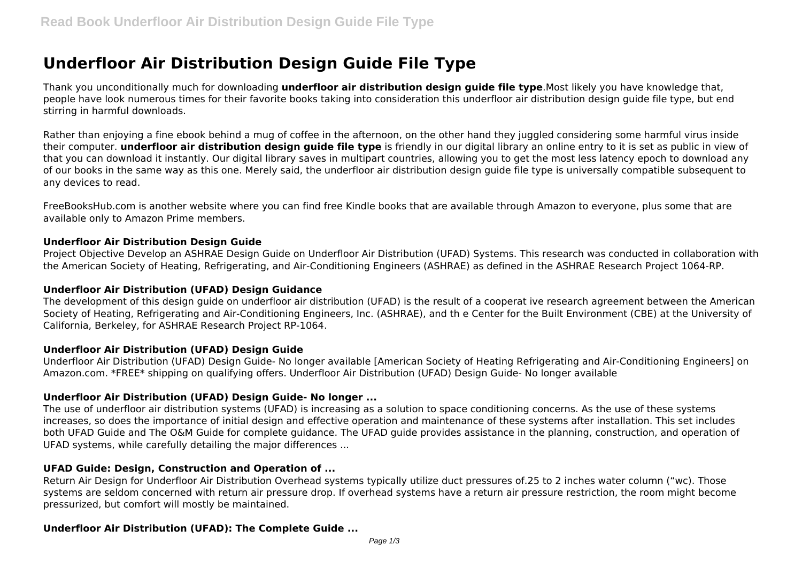# **Underfloor Air Distribution Design Guide File Type**

Thank you unconditionally much for downloading **underfloor air distribution design guide file type**.Most likely you have knowledge that, people have look numerous times for their favorite books taking into consideration this underfloor air distribution design guide file type, but end stirring in harmful downloads.

Rather than enjoying a fine ebook behind a mug of coffee in the afternoon, on the other hand they juggled considering some harmful virus inside their computer. **underfloor air distribution design guide file type** is friendly in our digital library an online entry to it is set as public in view of that you can download it instantly. Our digital library saves in multipart countries, allowing you to get the most less latency epoch to download any of our books in the same way as this one. Merely said, the underfloor air distribution design guide file type is universally compatible subsequent to any devices to read.

FreeBooksHub.com is another website where you can find free Kindle books that are available through Amazon to everyone, plus some that are available only to Amazon Prime members.

## **Underfloor Air Distribution Design Guide**

Project Objective Develop an ASHRAE Design Guide on Underfloor Air Distribution (UFAD) Systems. This research was conducted in collaboration with the American Society of Heating, Refrigerating, and Air-Conditioning Engineers (ASHRAE) as defined in the ASHRAE Research Project 1064-RP.

## **Underfloor Air Distribution (UFAD) Design Guidance**

The development of this design guide on underfloor air distribution (UFAD) is the result of a cooperat ive research agreement between the American Society of Heating, Refrigerating and Air-Conditioning Engineers, Inc. (ASHRAE), and th e Center for the Built Environment (CBE) at the University of California, Berkeley, for ASHRAE Research Project RP-1064.

# **Underfloor Air Distribution (UFAD) Design Guide**

Underfloor Air Distribution (UFAD) Design Guide- No longer available [American Society of Heating Refrigerating and Air-Conditioning Engineers] on Amazon.com. \*FREE\* shipping on qualifying offers. Underfloor Air Distribution (UFAD) Design Guide- No longer available

## **Underfloor Air Distribution (UFAD) Design Guide- No longer ...**

The use of underfloor air distribution systems (UFAD) is increasing as a solution to space conditioning concerns. As the use of these systems increases, so does the importance of initial design and effective operation and maintenance of these systems after installation. This set includes both UFAD Guide and The O&M Guide for complete guidance. The UFAD guide provides assistance in the planning, construction, and operation of UFAD systems, while carefully detailing the major differences ...

# **UFAD Guide: Design, Construction and Operation of ...**

Return Air Design for Underfloor Air Distribution Overhead systems typically utilize duct pressures of.25 to 2 inches water column ("wc). Those systems are seldom concerned with return air pressure drop. If overhead systems have a return air pressure restriction, the room might become pressurized, but comfort will mostly be maintained.

# **Underfloor Air Distribution (UFAD): The Complete Guide ...**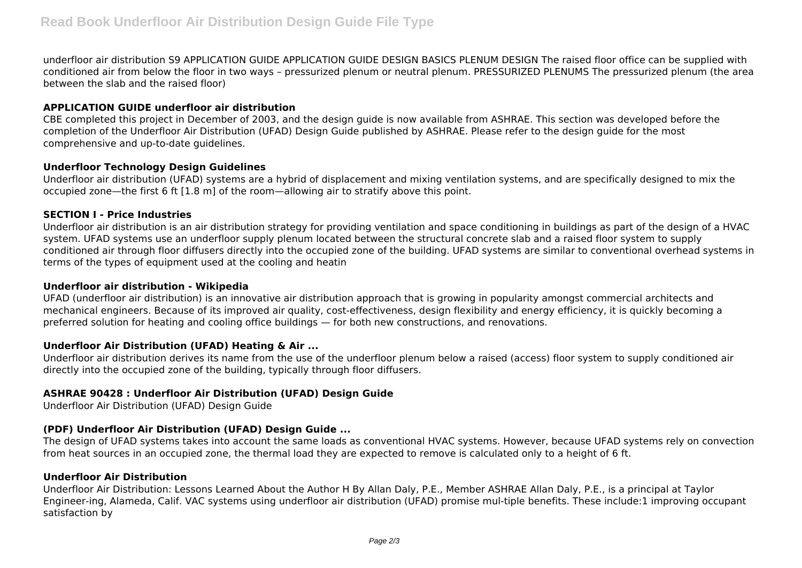underfloor air distribution S9 APPLICATION GUIDE APPLICATION GUIDE DESIGN BASICS PLENUM DESIGN The raised floor office can be supplied with conditioned air from below the floor in two ways – pressurized plenum or neutral plenum. PRESSURIZED PLENUMS The pressurized plenum (the area between the slab and the raised floor)

## **APPLICATION GUIDE underfloor air distribution**

CBE completed this project in December of 2003, and the design guide is now available from ASHRAE. This section was developed before the completion of the Underfloor Air Distribution (UFAD) Design Guide published by ASHRAE. Please refer to the design guide for the most comprehensive and up-to-date guidelines.

## **Underfloor Technology Design Guidelines**

Underfloor air distribution (UFAD) systems are a hybrid of displacement and mixing ventilation systems, and are specifically designed to mix the occupied zone—the first 6 ft [1.8 m] of the room—allowing air to stratify above this point.

## **SECTION I - Price Industries**

Underfloor air distribution is an air distribution strategy for providing ventilation and space conditioning in buildings as part of the design of a HVAC system. UFAD systems use an underfloor supply plenum located between the structural concrete slab and a raised floor system to supply conditioned air through floor diffusers directly into the occupied zone of the building. UFAD systems are similar to conventional overhead systems in terms of the types of equipment used at the cooling and heatin

#### **Underfloor air distribution - Wikipedia**

UFAD (underfloor air distribution) is an innovative air distribution approach that is growing in popularity amongst commercial architects and mechanical engineers. Because of its improved air quality, cost-effectiveness, design flexibility and energy efficiency, it is quickly becoming a preferred solution for heating and cooling office buildings — for both new constructions, and renovations.

## **Underfloor Air Distribution (UFAD) Heating & Air ...**

Underfloor air distribution derives its name from the use of the underfloor plenum below a raised (access) floor system to supply conditioned air directly into the occupied zone of the building, typically through floor diffusers.

# **ASHRAE 90428 : Underfloor Air Distribution (UFAD) Design Guide**

Underfloor Air Distribution (UFAD) Design Guide

# **(PDF) Underfloor Air Distribution (UFAD) Design Guide ...**

The design of UFAD systems takes into account the same loads as conventional HVAC systems. However, because UFAD systems rely on convection from heat sources in an occupied zone, the thermal load they are expected to remove is calculated only to a height of 6 ft.

## **Underfloor Air Distribution**

Underfloor Air Distribution: Lessons Learned About the Author H By Allan Daly, P.E., Member ASHRAE Allan Daly, P.E., is a principal at Taylor Engineer-ing, Alameda, Calif. VAC systems using underfloor air distribution (UFAD) promise mul-tiple benefits. These include:1 improving occupant satisfaction by